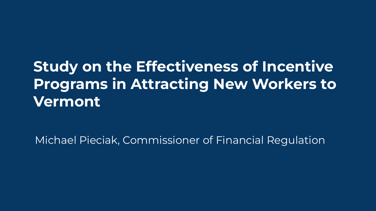# **Study on the Effectiveness of Incentive Programs in Attracting New Workers to Vermont**

Michael Pieciak, Commissioner of Financial Regulation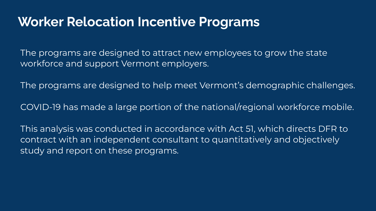#### **Worker Relocation Incentive Programs**

The programs are designed to attract new employees to grow the state workforce and support Vermont employers.

The programs are designed to help meet Vermont's demographic challenges.

COVID-19 has made a large portion of the national/regional workforce mobile.

This analysis was conducted in accordance with Act 51, which directs DFR to contract with an independent consultant to quantitatively and objectively study and report on these programs.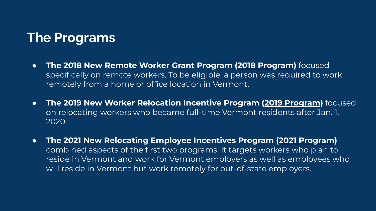# **The Programs**

- **The 2018 New Remote Worker Grant Program (2018 Program)** focused specifically on remote workers. To be eligible, a person was required to work remotely from a home or office location in Vermont.
- **The 2019 New Worker Relocation Incentive Program (2019 Program)** focused on relocating workers who became full-time Vermont residents after Jan. 1, 2020.
- **The 2021 New Relocating Employee Incentives Program (2021 Program)** combined aspects of the first two programs. It targets workers who plan to reside in Vermont and work for Vermont employers as well as employees who will reside in Vermont but work remotely for out-of-state employers.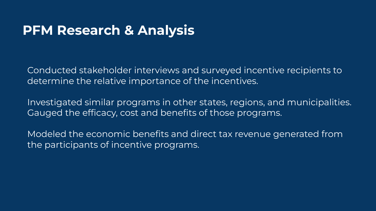# **PFM Research & Analysis**

Conducted stakeholder interviews and surveyed incentive recipients to determine the relative importance of the incentives.

Investigated similar programs in other states, regions, and municipalities. Gauged the efficacy, cost and benefits of those programs.

Modeled the economic benefits and direct tax revenue generated from the participants of incentive programs.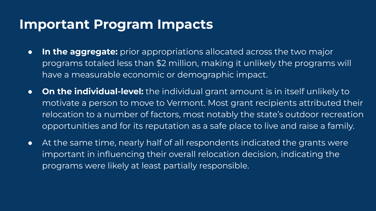### **Important Program Impacts**

- **In the aggregate:** prior appropriations allocated across the two major programs totaled less than \$2 million, making it unlikely the programs will have a measurable economic or demographic impact.
- **On the individual-level:** the individual grant amount is in itself unlikely to motivate a person to move to Vermont. Most grant recipients attributed their relocation to a number of factors, most notably the state's outdoor recreation opportunities and for its reputation as a safe place to live and raise a family.
- At the same time, nearly half of all respondents indicated the grants were important in influencing their overall relocation decision, indicating the programs were likely at least partially responsible.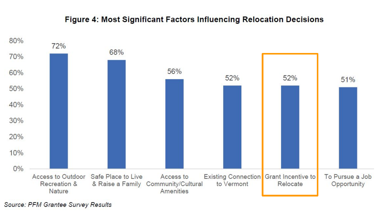#### Figure 4: Most Significant Factors Influencing Relocation Decisions



Source: PFM Grantee Survey Results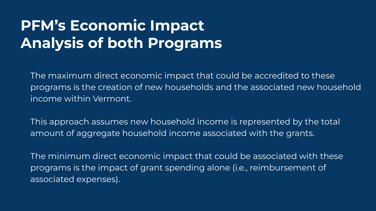# **PFM's Economic Impact Analysis of both Programs**

The maximum direct economic impact that could be accredited to these programs is the creation of new households and the associated new household income within Vermont.

This approach assumes new household income is represented by the total amount of aggregate household income associated with the grants.

The minimum direct economic impact that could be associated with these programs is the impact of grant spending alone (i.e., reimbursement of associated expenses).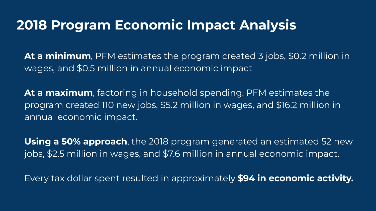### **2018 Program Economic Impact Analysis**

**At a minimum**, PFM estimates the program created 3 jobs, \$0.2 million in wages, and \$0.5 million in annual economic impact

**At a maximum**, factoring in household spending, PFM estimates the program created 110 new jobs, \$5.2 million in wages, and \$16.2 million in annual economic impact.

**Using a 50% approach**, the 2018 program generated an estimated 52 new jobs, \$2.5 million in wages, and \$7.6 million in annual economic impact.

Every tax dollar spent resulted in approximately **\$94 in economic activity.**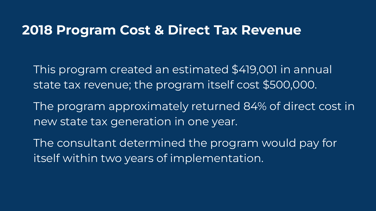#### **2018 Program Cost & Direct Tax Revenue**

This program created an estimated \$419,001 in annual state tax revenue; the program itself cost \$500,000.

The program approximately returned 84% of direct cost in new state tax generation in one year.

The consultant determined the program would pay for itself within two years of implementation.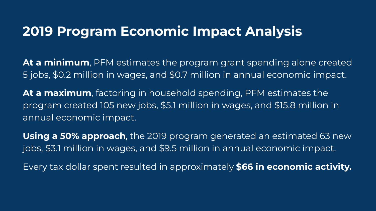## **2019 Program Economic Impact Analysis**

**At a minimum**, PFM estimates the program grant spending alone created 5 jobs, \$0.2 million in wages, and \$0.7 million in annual economic impact.

**At a maximum**, factoring in household spending, PFM estimates the program created 105 new jobs, \$5.1 million in wages, and \$15.8 million in annual economic impact.

**Using a 50% approach**, the 2019 program generated an estimated 63 new jobs, \$3.1 million in wages, and \$9.5 million in annual economic impact.

Every tax dollar spent resulted in approximately **\$66 in economic activity.**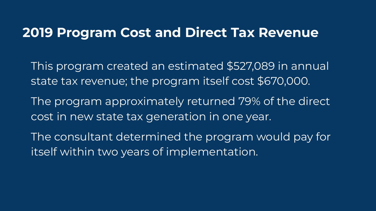#### **2019 Program Cost and Direct Tax Revenue**

- This program created an estimated \$527,089 in annual state tax revenue; the program itself cost \$670,000.
- The program approximately returned 79% of the direct cost in new state tax generation in one year.
- The consultant determined the program would pay for itself within two years of implementation.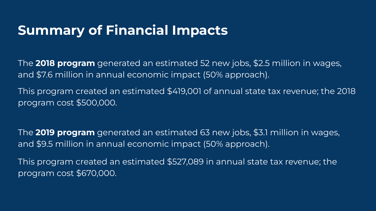## **Summary of Financial Impacts**

The **2018 program** generated an estimated 52 new jobs, \$2.5 million in wages, and \$7.6 million in annual economic impact (50% approach).

This program created an estimated \$419,001 of annual state tax revenue; the 2018 program cost \$500,000.

The **2019 program** generated an estimated 63 new jobs, \$3.1 million in wages, and \$9.5 million in annual economic impact (50% approach).

This program created an estimated \$527,089 in annual state tax revenue; the program cost \$670,000.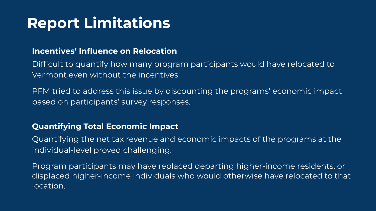# **Report Limitations**

#### **Incentives' Influence on Relocation**

Difficult to quantify how many program participants would have relocated to Vermont even without the incentives.

PFM tried to address this issue by discounting the programs' economic impact based on participants' survey responses.

#### **Quantifying Total Economic Impact**

Quantifying the net tax revenue and economic impacts of the programs at the individual-level proved challenging.

Program participants may have replaced departing higher-income residents, or displaced higher-income individuals who would otherwise have relocated to that location.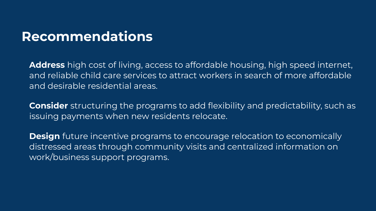### **Recommendations**

**Address** high cost of living, access to affordable housing, high speed internet, and reliable child care services to attract workers in search of more affordable and desirable residential areas.

**Consider** structuring the programs to add flexibility and predictability, such as issuing payments when new residents relocate.

**Design** future incentive programs to encourage relocation to economically distressed areas through community visits and centralized information on work/business support programs.